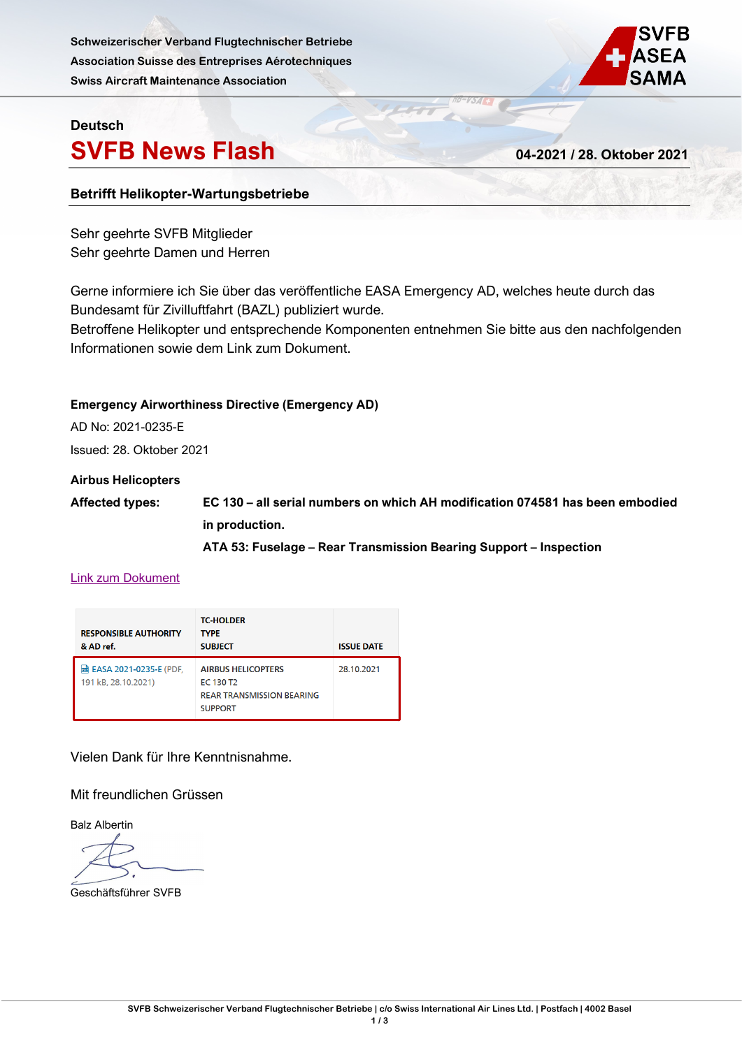**Schweizerischer Verband Flugtechnischer Betriebe Association Suisse des Entreprises Aérotechniques Swiss Aircraft Maintenance Association**



## **Deutsch**

## **SVFB News Flash 04-2021 / 28. Oktober 2021**

## **Betrifft Helikopter-Wartungsbetriebe**

Sehr geehrte SVFB Mitglieder Sehr geehrte Damen und Herren

Gerne informiere ich Sie über das veröffentliche EASA Emergency AD, welches heute durch das Bundesamt für Zivilluftfahrt (BAZL) publiziert wurde.

Betroffene Helikopter und entsprechende Komponenten entnehmen Sie bitte aus den nachfolgenden Informationen sowie dem Link zum Dokument.

#### **Emergency Airworthiness Directive (Emergency AD)**

AD No: 2021-0235-E

Issued: 28. Oktober 2021

#### **Airbus Helicopters**

**Affected types: EC 130 – all serial numbers on which AH modification 074581 has been embodied in production.**

**ATA 53: Fuselage – Rear Transmission Bearing Support – Inspection**

## [Link zum Dokument](https://www.bazl.admin.ch/bazl/de/home/fachleute/luftfahrzeuge/lufttuechtigkeitsanweisungen--lta-/emergency-airworthiness-directives--ead-.html)

| <b>RESPONSIBLE AUTHORITY</b><br>& AD ref.                | <b>TC-HOLDER</b><br><b>TYPE</b><br><b>SUBJECT</b>                                                        | <b>ISSUE DATE</b> |
|----------------------------------------------------------|----------------------------------------------------------------------------------------------------------|-------------------|
| <b>lad EASA 2021-0235-E (PDF,</b><br>191 kB, 28.10.2021) | <b>AIRBUS HELICOPTERS</b><br>EC 130 T <sub>2</sub><br><b>REAR TRANSMISSION BEARING</b><br><b>SUPPORT</b> | 28.10.2021        |

Vielen Dank für Ihre Kenntnisnahme.

Mit freundlichen Grüssen

Balz Albertin

Geschäftsführer SVFB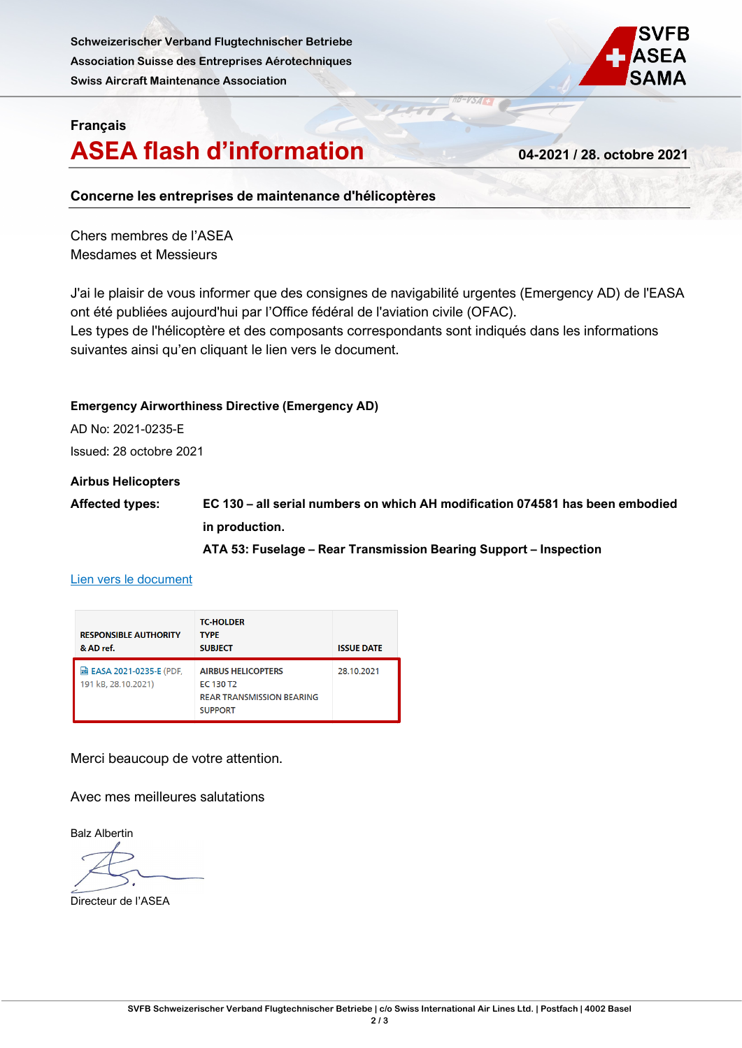**Schweizerischer Verband Flugtechnischer Betriebe Association Suisse des Entreprises Aérotechniques Swiss Aircraft Maintenance Association**



## **Français**

## **ASEA flash d'information 04-2021 / 28. octobre 2021**

## **Concerne les entreprises de maintenance d'hélicoptères**

Chers membres de l'ASEA Mesdames et Messieurs

J'ai le plaisir de vous informer que des consignes de navigabilité urgentes (Emergency AD) de l'EASA ont été publiées aujourd'hui par l'Office fédéral de l'aviation civile (OFAC). Les types de l'hélicoptère et des composants correspondants sont indiqués dans les informations suivantes ainsi qu'en cliquant le lien vers le document.

## **Emergency Airworthiness Directive (Emergency AD)**

AD No: 2021-0235-E

Issued: 28 octobre 2021

### **Airbus Helicopters**

**Affected types: EC 130 – all serial numbers on which AH modification 074581 has been embodied in production.**

**ATA 53: Fuselage – Rear Transmission Bearing Support – Inspection**

#### [Lien vers le document](https://www.bazl.admin.ch/bazl/fr/home/experts/aeronefs/consignes-de-navigabilite--cn-/emergency-airworthiness-directives--ead-.html)

| <b>RESPONSIBLE AUTHORITY</b><br>& AD ref.              | <b>TC-HOLDER</b><br><b>TYPF</b><br><b>SUBJECT</b>                                                        | <b>ISSUE DATE</b> |
|--------------------------------------------------------|----------------------------------------------------------------------------------------------------------|-------------------|
| <b>团 EASA 2021-0235-E (PDF,</b><br>191 kB, 28.10.2021) | <b>AIRBUS HELICOPTERS</b><br>EC 130 T <sub>2</sub><br><b>REAR TRANSMISSION BEARING</b><br><b>SUPPORT</b> | 28.10.2021        |

Merci beaucoup de votre attention.

Avec mes meilleures salutations

Balz Albertin

Directeur de l'ASEA